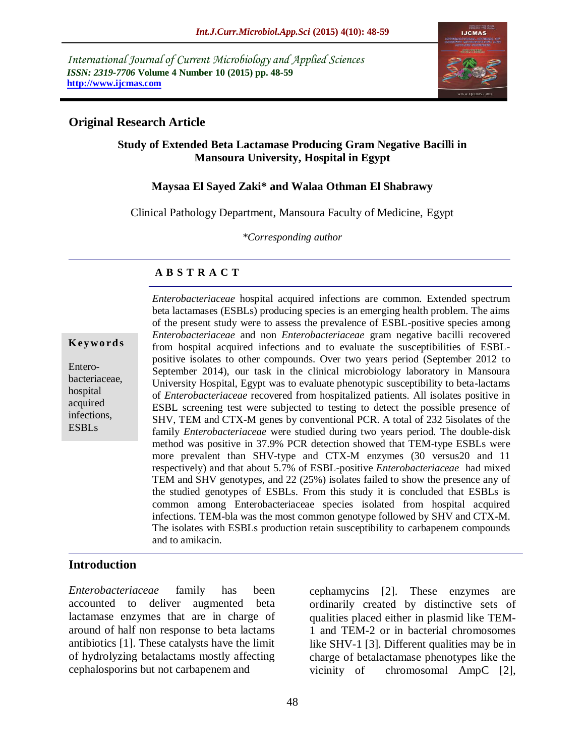*International Journal of Current Microbiology and Applied Sciences ISSN: 2319-7706* **Volume 4 Number 10 (2015) pp. 48-59 http://www.ijcmas.com** 



## **Original Research Article**

# **Study of Extended Beta Lactamase Producing Gram Negative Bacilli in Mansoura University, Hospital in Egypt**

## **Maysaa El Sayed Zaki\* and Walaa Othman El Shabrawy**

Clinical Pathology Department, Mansoura Faculty of Medicine, Egypt

*\*Corresponding author*

### **A B S T R A C T**

#### **K ey w o rd s**

Enterobacteriaceae, hospital acquired infections, ESBLs

*Enterobacteriaceae* hospital acquired infections are common. Extended spectrum beta lactamases (ESBLs) producing species is an emerging health problem. The aims of the present study were to assess the prevalence of ESBL-positive species among *Enterobacteriaceae* and non *Enterobacteriaceae* gram negative bacilli recovered from hospital acquired infections and to evaluate the susceptibilities of ESBLpositive isolates to other compounds. Over two years period (September 2012 to September 2014), our task in the clinical microbiology laboratory in Mansoura University Hospital, Egypt was to evaluate phenotypic susceptibility to beta-lactams of *Enterobacteriaceae* recovered from hospitalized patients. All isolates positive in ESBL screening test were subjected to testing to detect the possible presence of SHV, TEM and CTX-M genes by conventional PCR. A total of 232 5isolates of the family *Enterobacteriaceae* were studied during two years period. The double-disk method was positive in 37.9% PCR detection showed that TEM-type ESBLs were more prevalent than SHV-type and CTX-M enzymes (30 versus20 and 11 respectively) and that about 5.7% of ESBL-positive *Enterobacteriaceae* had mixed TEM and SHV genotypes, and 22 (25%) isolates failed to show the presence any of the studied genotypes of ESBLs. From this study it is concluded that ESBLs is common among Enterobacteriaceae species isolated from hospital acquired infections. TEM-bla was the most common genotype followed by SHV and CTX-M. The isolates with ESBLs production retain susceptibility to carbapenem compounds and to amikacin.

## **Introduction**

*Enterobacteriaceae* family has been accounted to deliver augmented beta lactamase enzymes that are in charge of around of half non response to beta lactams antibiotics [1]. These catalysts have the limit of hydrolyzing betalactams mostly affecting cephalosporins but not carbapenem and

cephamycins [2]. These enzymes are ordinarily created by distinctive sets of qualities placed either in plasmid like TEM-1 and TEM-2 or in bacterial chromosomes like SHV-1 [3]. Different qualities may be in charge of betalactamase phenotypes like the vicinity of chromosomal AmpC [2],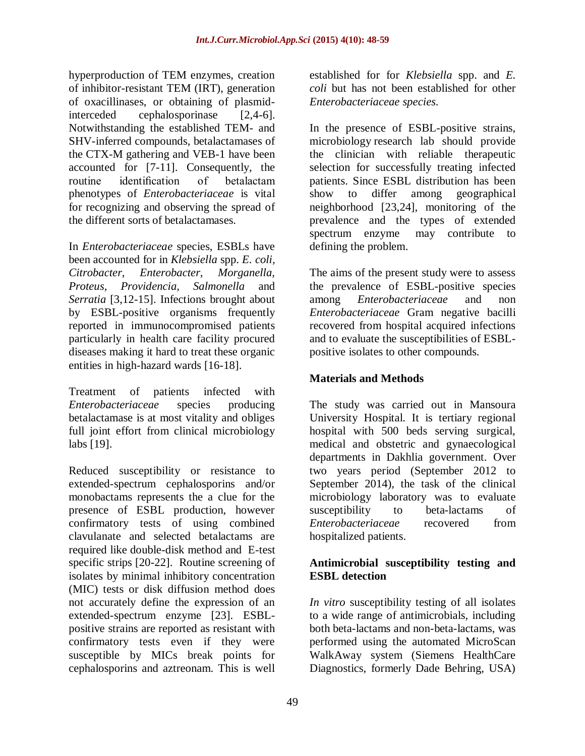hyperproduction of TEM enzymes, creation of inhibitor-resistant TEM (IRT), generation of oxacillinases, or obtaining of plasmidinterceded cephalosporinase [2,4-6]. Notwithstanding the established TEM- and SHV-inferred compounds, betalactamases of the CTX-M gathering and VEB-1 have been accounted for [7-11]. Consequently, the routine identification of betalactam phenotypes of *Enterobacteriaceae* is vital for recognizing and observing the spread of the different sorts of betalactamases.

In *Enterobacteriaceae* species, ESBLs have been accounted for in *Klebsiella* spp. *E. coli, Citrobacter, Enterobacter, Morganella, Proteus, Providencia, Salmonella* and *Serratia* [3,12-15]. Infections brought about by ESBL-positive organisms frequently reported in immunocompromised patients particularly in health care facility procured diseases making it hard to treat these organic entities in high-hazard wards [16-18].

Treatment of patients infected with *Enterobacteriaceae* species producing betalactamase is at most vitality and obliges full joint effort from clinical microbiology labs [19].

Reduced susceptibility or resistance to extended-spectrum cephalosporins and/or monobactams represents the a clue for the presence of ESBL production, however confirmatory tests of using combined clavulanate and selected betalactams are required like double-disk method and E-test specific strips [20-22]. Routine screening of isolates by minimal inhibitory concentration (MIC) tests or disk diffusion method does not accurately define the expression of an extended-spectrum enzyme [23]. ESBLpositive strains are reported as resistant with confirmatory tests even if they were susceptible by MICs break points for cephalosporins and aztreonam. This is well

established for for *Klebsiella* spp. and *E. coli* but has not been established for other *Enterobacteriaceae species*.

In the presence of ESBL-positive strains, microbiology research lab should provide the clinician with reliable therapeutic selection for successfully treating infected patients. Since ESBL distribution has been show to differ among geographical neighborhood [23,24], monitoring of the prevalence and the types of extended spectrum enzyme may contribute to defining the problem.

The aims of the present study were to assess the prevalence of ESBL-positive species among *Enterobacteriaceae* and non *Enterobacteriaceae* Gram negative bacilli recovered from hospital acquired infections and to evaluate the susceptibilities of ESBLpositive isolates to other compounds.

# **Materials and Methods**

The study was carried out in Mansoura University Hospital. It is tertiary regional hospital with 500 beds serving surgical, medical and obstetric and gynaecological departments in Dakhlia government. Over two years period (September 2012 to September 2014), the task of the clinical microbiology laboratory was to evaluate susceptibility to beta-lactams of *Enterobacteriaceae* recovered from hospitalized patients.

# **Antimicrobial susceptibility testing and ESBL detection**

*In vitro* susceptibility testing of all isolates to a wide range of antimicrobials, including both beta-lactams and non-beta-lactams, was performed using the automated MicroScan WalkAway system (Siemens HealthCare Diagnostics, formerly Dade Behring, USA)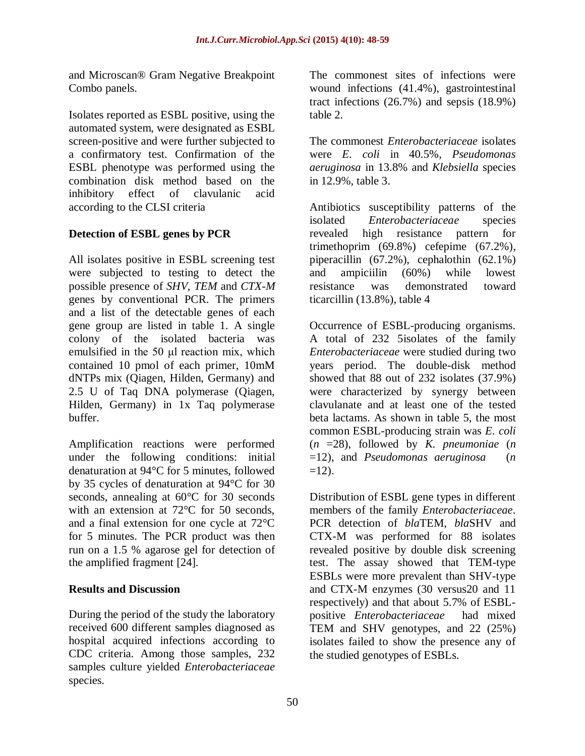and Microscan® Gram Negative Breakpoint Combo panels.

Isolates reported as ESBL positive, using the automated system, were designated as ESBL screen-positive and were further subjected to a confirmatory test. Confirmation of the ESBL phenotype was performed using the combination disk method based on the inhibitory effect of clavulanic acid according to the CLSI criteria

# **Detection of ESBL genes by PCR**

All isolates positive in ESBL screening test were subjected to testing to detect the possible presence of *SHV, TEM* and *CTX-M*  genes by conventional PCR. The primers and a list of the detectable genes of each gene group are listed in table 1. A single colony of the isolated bacteria was emulsified in the 50 μl reaction mix, which contained 10 pmol of each primer, 10mM dNTPs mix (Qiagen, Hilden, Germany) and 2.5 U of Taq DNA polymerase (Qiagen, Hilden, Germany) in 1x Taq polymerase buffer.

Amplification reactions were performed under the following conditions: initial denaturation at 94°C for 5 minutes, followed by 35 cycles of denaturation at 94°C for 30 seconds, annealing at 60°C for 30 seconds with an extension at 72<sup>o</sup>C for 50 seconds, and a final extension for one cycle at 72°C for 5 minutes. The PCR product was then run on a 1.5 % agarose gel for detection of the amplified fragment [24].

# **Results and Discussion**

During the period of the study the laboratory received 600 different samples diagnosed as hospital acquired infections according to CDC criteria. Among those samples, 232 samples culture yielded *Enterobacteriaceae* species.

The commonest sites of infections were wound infections (41.4%), gastrointestinal tract infections (26.7%) and sepsis (18.9%) table 2.

The commonest *Enterobacteriaceae* isolates were *E. coli* in 40.5%, *Pseudomonas aeruginosa* in 13.8% and *Klebsiella* species in 12.9%, table 3.

Antibiotics susceptibility patterns of the isolated *Enterobacteriaceae* species revealed high resistance pattern for trimethoprim (69.8%) cefepime (67.2%), piperacillin (67.2%), cephalothin (62.1%) and ampiciilin (60%) while lowest resistance was demonstrated toward ticarcillin (13.8%), table 4

Occurrence of ESBL-producing organisms. A total of 232 5isolates of the family *Enterobacteriaceae* were studied during two years period. The double-disk method showed that 88 out of 232 isolates (37.9%) were characterized by synergy between clavulanate and at least one of the tested beta lactams. As shown in table 5, the most common ESBL-producing strain was *E. coli*  (*n* =28), followed by *K. pneumoniae* (*n*  =12), and *Pseudomonas aeruginosa* (*n*   $=12$ ).

Distribution of ESBL gene types in different members of the family *Enterobacteriaceae*. PCR detection of *bla*TEM, *bla*SHV and CTX-M was performed for 88 isolates revealed positive by double disk screening test. The assay showed that TEM-type ESBLs were more prevalent than SHV-type and CTX-M enzymes (30 versus20 and 11 respectively) and that about 5.7% of ESBLpositive *Enterobacteriaceae* had mixed TEM and SHV genotypes, and 22 (25%) isolates failed to show the presence any of the studied genotypes of ESBLs.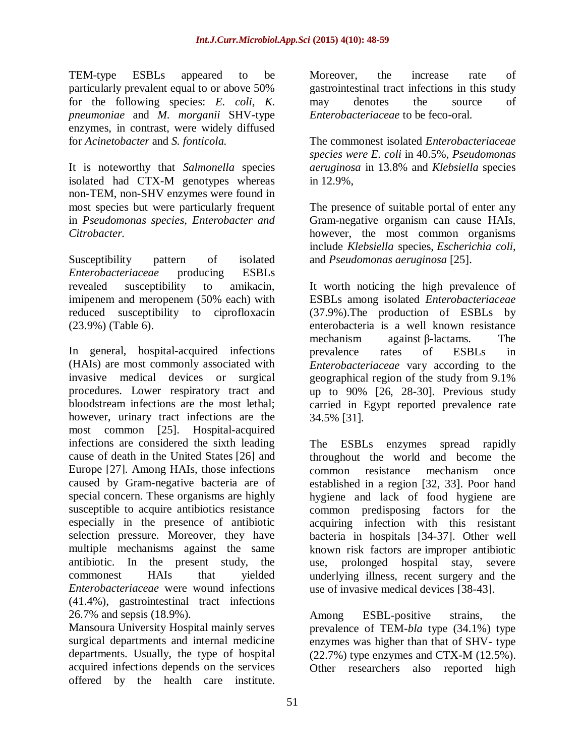TEM-type ESBLs appeared to be particularly prevalent equal to or above 50% for the following species: *E. coli, K. pneumoniae* and *M. morganii* SHV-type enzymes, in contrast, were widely diffused for *Acinetobacter* and *S. fonticola.*

It is noteworthy that *Salmonella* species isolated had CTX-M genotypes whereas non-TEM, non-SHV enzymes were found in most species but were particularly frequent in *Pseudomonas species, Enterobacter and Citrobacter.*

Susceptibility pattern of isolated *Enterobacteriaceae* producing ESBLs revealed susceptibility to amikacin, imipenem and meropenem (50% each) with reduced susceptibility to ciprofloxacin (23.9%) (Table 6).

In general, hospital-acquired infections (HAIs) are most commonly associated with invasive medical devices or surgical procedures. Lower respiratory tract and bloodstream infections are the most lethal; however, urinary tract infections are the most common [25]. Hospital-acquired infections are considered the sixth leading cause of death in the United States [26] and Europe [27]. Among HAIs, those infections caused by Gram-negative bacteria are of special concern. These organisms are highly susceptible to acquire antibiotics resistance especially in the presence of antibiotic selection pressure. Moreover, they have multiple mechanisms against the same antibiotic. In the present study, the commonest HAIs that yielded *Enterobacteriaceae* were wound infections (41.4%), gastrointestinal tract infections 26.7% and sepsis (18.9%).

Mansoura University Hospital mainly serves surgical departments and internal medicine departments. Usually, the type of hospital acquired infections depends on the services offered by the health care institute.

Moreover, the increase rate of gastrointestinal tract infections in this study may denotes the source of *Enterobacteriaceae* to be feco-oral.

The commonest isolated *Enterobacteriaceae species were E. coli* in 40.5%, *Pseudomonas aeruginosa* in 13.8% and *Klebsiella* species in 12.9%,

The presence of suitable portal of enter any Gram-negative organism can cause HAIs, however, the most common organisms include *Klebsiella* species, *Escherichia coli*, and *Pseudomonas aeruginosa* [25].

It worth noticing the high prevalence of ESBLs among isolated *Enterobacteriaceae* (37.9%).The production of ESBLs by enterobacteria is a well known resistance mechanism against β-lactams. The prevalence rates of ESBLs in *Enterobacteriaceae* vary according to the geographical region of the study from 9.1% up to 90% [26, 28-30]. Previous study carried in Egypt reported prevalence rate 34.5% [31].

The ESBLs enzymes spread rapidly throughout the world and become the common resistance mechanism once established in a region [32, 33]. Poor hand hygiene and lack of food hygiene are common predisposing factors for the acquiring infection with this resistant bacteria in hospitals [34-37]. Other well known risk factors are improper antibiotic use, prolonged hospital stay, severe underlying illness, recent surgery and the use of invasive medical devices [38-43].

Among ESBL-positive strains, the prevalence of TEM-*bla* type (34.1%) type enzymes was higher than that of SHV- type  $(22.7\%)$  type enzymes and CTX-M  $(12.5\%)$ . Other researchers also reported high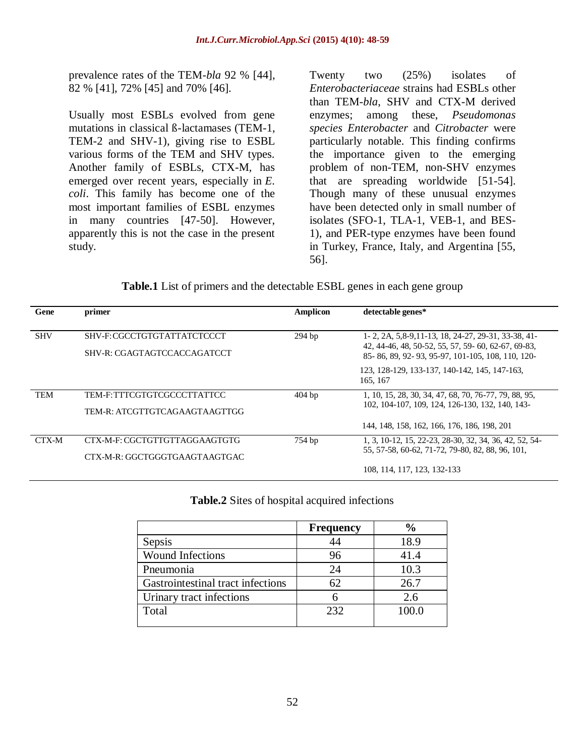prevalence rates of the TEM-*bla* 92 % [44], 82 % [41], 72% [45] and 70% [46].

Usually most ESBLs evolved from gene mutations in classical ß-lactamases (TEM-1, TEM-2 and SHV-1), giving rise to ESBL various forms of the TEM and SHV types. Another family of ESBLs, CTX-M, has emerged over recent years, especially in *E. coli*. This family has become one of the most important families of ESBL enzymes in many countries [47-50]. However, apparently this is not the case in the present study.

Twenty two (25%) isolates of *Enterobacteriaceae* strains had ESBLs other than TEM-*bla*, SHV and CTX-M derived enzymes; among these, *Pseudomonas species Enterobacter* and *Citrobacter* were particularly notable. This finding confirms the importance given to the emerging problem of non-TEM, non-SHV enzymes that are spreading worldwide [51-54]. Though many of these unusual enzymes have been detected only in small number of isolates (SFO-1, TLA-1, VEB-1, and BES-1), and PER-type enzymes have been found in Turkey, France, Italy, and Argentina [55, 56].

Table.1 List of primers and the detectable ESBL genes in each gene group

| Gene       | primer                                                         | <b>Amplicon</b> | detectable genes*                                                                                                                                                      |
|------------|----------------------------------------------------------------|-----------------|------------------------------------------------------------------------------------------------------------------------------------------------------------------------|
| <b>SHV</b> | SHV-F: CGCCTGTGTATTATCTCCCT<br>SHV-R: CGAGTAGTCCACCAGATCCT     | $294$ bp        | 1-2, 2A, 5,8-9, 11-13, 18, 24-27, 29-31, 33-38, 41-<br>42, 44-46, 48, 50-52, 55, 57, 59-60, 62-67, 69-83,<br>85 - 86, 89, 92 - 93, 95 - 97, 101 - 105, 108, 110, 120 - |
|            |                                                                |                 | 123, 128-129, 133-137, 140-142, 145, 147-163,<br>165, 167                                                                                                              |
| <b>TEM</b> | TEM-F:TTTCGTGTCGCCCTTATTCC<br>TEM-R: ATCGTTGTCAGAAGTAAGTTGG    | $404$ bp        | 1, 10, 15, 28, 30, 34, 47, 68, 70, 76-77, 79, 88, 95,<br>102, 104-107, 109, 124, 126-130, 132, 140, 143-                                                               |
|            |                                                                |                 | 144, 148, 158, 162, 166, 176, 186, 198, 201                                                                                                                            |
| CTX-M      | CTX-M-F: CGCTGTTGTTAGGAAGTGTG<br>CTX-M-R: GGCTGGGTGAAGTAAGTGAC | 754 bp          | 1, 3, 10-12, 15, 22-23, 28-30, 32, 34, 36, 42, 52, 54-<br>55, 57-58, 60-62, 71-72, 79-80, 82, 88, 96, 101,                                                             |
|            |                                                                |                 | 108, 114, 117, 123, 132-133                                                                                                                                            |

**Table.2** Sites of hospital acquired infections

|                                   | <b>Frequency</b> | $\frac{6}{9}$ |
|-----------------------------------|------------------|---------------|
| Sepsis                            |                  | 18.9          |
| Wound Infections                  | 96               | 41.4          |
| Pneumonia                         | 24               | 10.3          |
| Gastrointestinal tract infections | 62               | 26.7          |
| Urinary tract infections          |                  | 2.6           |
| Total                             | 232              | 100.0         |
|                                   |                  |               |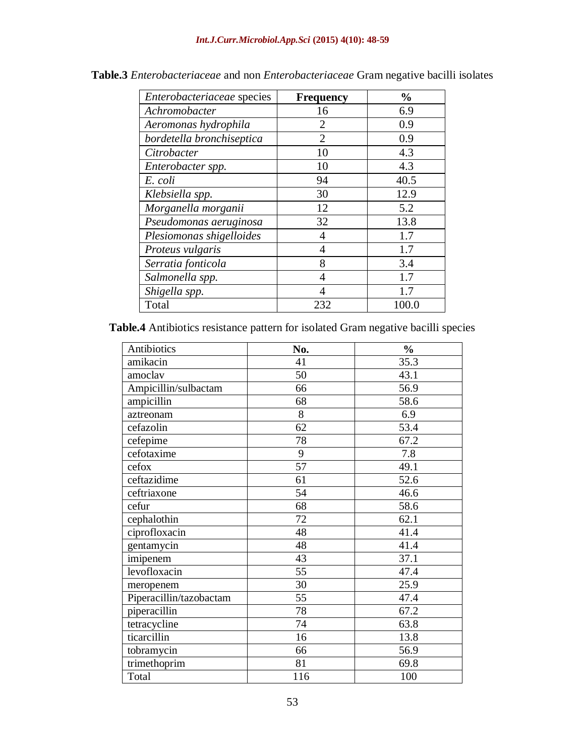| Enterobacteriaceae species | <b>Frequency</b> | $\frac{0}{0}$ |
|----------------------------|------------------|---------------|
| Achromobacter              | 16               | 6.9           |
| Aeromonas hydrophila       | 2                | 0.9           |
| bordetella bronchiseptica  | $\overline{2}$   | 0.9           |
| Citrobacter                | 10               | 4.3           |
| Enterobacter spp.          | 10               | 4.3           |
| E. coli                    | 94               | 40.5          |
| Klebsiella spp.            | 30               | 12.9          |
| Morganella morganii        | 12               | 5.2           |
| Pseudomonas aeruginosa     | 32               | 13.8          |
| Plesiomonas shigelloides   | 4                | 1.7           |
| Proteus vulgaris           | 4                | 1.7           |
| Serratia fonticola         | 8                | 3.4           |
| Salmonella spp.            | $\overline{4}$   | 1.7           |
| Shigella spp.              | 4                | 1.7           |
| Total                      | 232              | 100.0         |

**Table.3** *Enterobacteriaceae* and non *Enterobacteriaceae* Gram negative bacilli isolates

**Table.4** Antibiotics resistance pattern for isolated Gram negative bacilli species

| Antibiotics             | No. | $\frac{0}{0}$ |  |
|-------------------------|-----|---------------|--|
| amikacin                | 41  | 35.3          |  |
| amoclav                 | 50  | 43.1          |  |
| Ampicillin/sulbactam    | 66  | 56.9          |  |
| ampicillin              | 68  | 58.6          |  |
| aztreonam               | 8   | 6.9           |  |
| cefazolin               | 62  | 53.4          |  |
| cefepime                | 78  | 67.2          |  |
| cefotaxime              | 9   | 7.8           |  |
| cefox                   | 57  | 49.1          |  |
| ceftazidime             | 61  | 52.6          |  |
| ceftriaxone             | 54  | 46.6          |  |
| cefur                   | 68  | 58.6          |  |
| cephalothin             | 72  | 62.1          |  |
| ciprofloxacin           | 48  | 41.4          |  |
| gentamycin              | 48  | 41.4          |  |
| imipenem                | 43  | 37.1          |  |
| levofloxacin            | 55  | 47.4          |  |
| meropenem               | 30  | 25.9          |  |
| Piperacillin/tazobactam | 55  | 47.4          |  |
| piperacillin            | 78  | 67.2          |  |
| tetracycline            | 74  | 63.8          |  |
| ticarcillin             | 16  | 13.8          |  |
| tobramycin              | 66  | 56.9          |  |
| trimethoprim            | 81  | 69.8          |  |
| Total                   | 116 | 100           |  |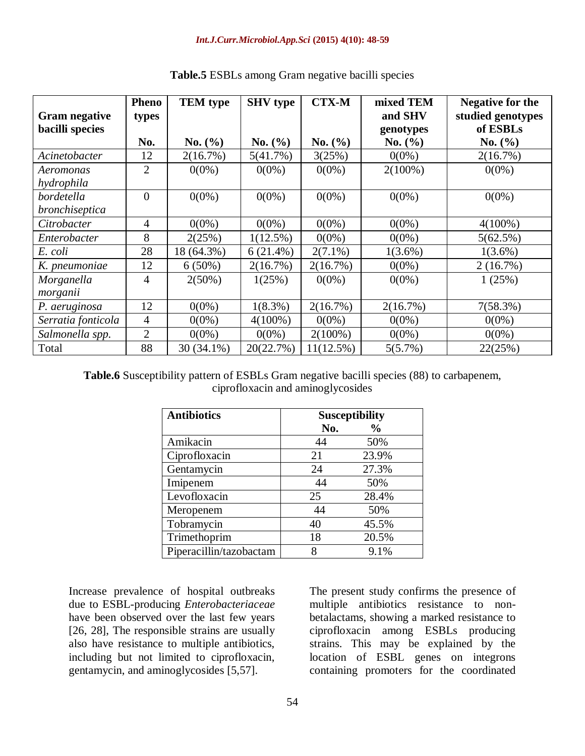|                      | <b>Pheno</b>   | <b>TEM</b> type | <b>SHV</b> type | <b>CTX-M</b> | mixed TEM   | <b>Negative for the</b> |
|----------------------|----------------|-----------------|-----------------|--------------|-------------|-------------------------|
| <b>Gram negative</b> | types          |                 |                 |              | and SHV     | studied genotypes       |
| bacilli species      |                |                 |                 |              | genotypes   | of ESBLs                |
|                      | No.            | No. (%)         | No. (%)         | No. $(\% )$  | No. $(\% )$ | No. $(\% )$             |
| Acinetobacter        | 12             | 2(16.7%)        | 5(41.7%)        | 3(25%)       | $0(0\%)$    | 2(16.7%)                |
| Aeromonas            | 2              | $0(0\%)$        | $0(0\%)$        | $0(0\%)$     | $2(100\%)$  | $0(0\%)$                |
| hydrophila           |                |                 |                 |              |             |                         |
| bordetella           | $\overline{0}$ | $0(0\%)$        | $0(0\%)$        | $0(0\%)$     | $0(0\%)$    | $0(0\%)$                |
| bronchiseptica       |                |                 |                 |              |             |                         |
| Citrobacter          | 4              | $0(0\%)$        | $0(0\%)$        | $0(0\%)$     | $0(0\%)$    | $4(100\%)$              |
| Enterobacter         | 8              | 2(25%)          | $1(12.5\%)$     | $0(0\%)$     | $0(0\%)$    | 5(62.5%)                |
| E. coli              | 28             | 18 (64.3%)      | $6(21.4\%)$     | $2(7.1\%)$   | $1(3.6\%)$  | $1(3.6\%)$              |
| K. pneumoniae        | 12             | $6(50\%)$       | 2(16.7%)        | 2(16.7%)     | $0(0\%)$    | 2(16.7%)                |
| Morganella           | $\overline{4}$ | $2(50\%)$       | 1(25%)          | $0(0\%)$     | $0(0\%)$    | 1(25%)                  |
| morganii             |                |                 |                 |              |             |                         |
| P. aeruginosa        | 12             | $0(0\%)$        | $1(8.3\%)$      | 2(16.7%)     | 2(16.7%)    | 7(58.3%)                |
| Serratia fonticola   | 4              | $0(0\%)$        | $4(100\%)$      | $0(0\%)$     | $0(0\%)$    | $0(0\%)$                |
| Salmonella spp.      | $\overline{2}$ | $0(0\%)$        | $0(0\%)$        | $2(100\%)$   | $0(0\%)$    | $0(0\%)$                |
| Total                | 88             | 30 (34.1%)      | 20(22.7%)       | 11(12.5%)    | 5(5.7%)     | 22(25%)                 |

# **Table.5** ESBLs among Gram negative bacilli species

**Table.6** Susceptibility pattern of ESBLs Gram negative bacilli species (88) to carbapenem, ciprofloxacin and aminoglycosides

| <b>Antibiotics</b>      |     | <b>Susceptibility</b> |
|-------------------------|-----|-----------------------|
|                         | No. | $\frac{6}{9}$         |
| Amikacin                | 44  | 50%                   |
| Ciprofloxacin           | 21  | 23.9%                 |
| Gentamycin              | 24  | 27.3%                 |
| Imipenem                | 44  | 50%                   |
| Levofloxacin            | 25  | 28.4%                 |
| Meropenem               | 44  | 50%                   |
| Tobramycin              | 40  | 45.5%                 |
| Trimethoprim            | 18  | 20.5%                 |
| Piperacillin/tazobactam | 8   | 9.1%                  |

Increase prevalence of hospital outbreaks due to ESBL-producing *Enterobacteriaceae* have been observed over the last few years [26, 28], The responsible strains are usually also have resistance to multiple antibiotics, including but not limited to ciprofloxacin, gentamycin, and aminoglycosides [5,57].

The present study confirms the presence of multiple antibiotics resistance to nonbetalactams, showing a marked resistance to ciprofloxacin among ESBLs producing strains. This may be explained by the location of ESBL genes on integrons containing promoters for the coordinated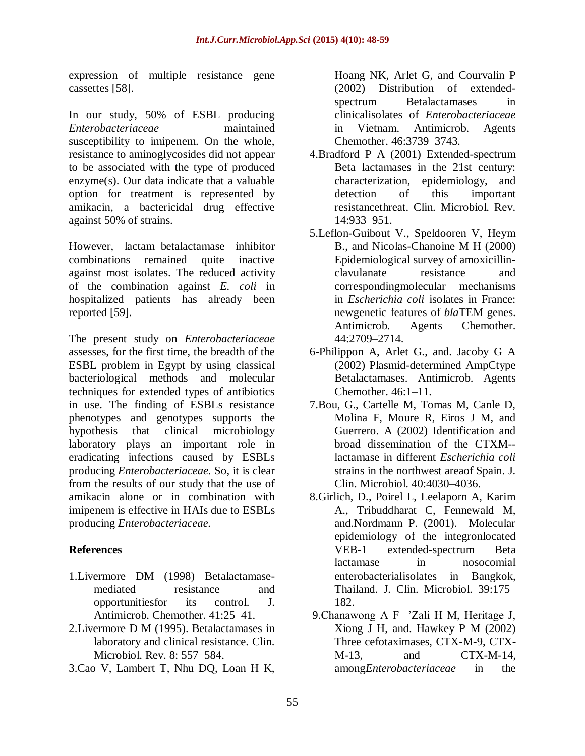expression of multiple resistance gene cassettes [58].

In our study, 50% of ESBL producing *Enterobacteriaceae* maintained susceptibility to imipenem. On the whole, resistance to aminoglycosides did not appear to be associated with the type of produced enzyme(s). Our data indicate that a valuable option for treatment is represented by amikacin, a bactericidal drug effective against 50% of strains.

However, lactam–betalactamase inhibitor combinations remained quite inactive against most isolates. The reduced activity of the combination against *E. coli* in hospitalized patients has already been reported [59].

The present study on *Enterobacteriaceae* assesses, for the first time, the breadth of the ESBL problem in Egypt by using classical bacteriological methods and molecular techniques for extended types of antibiotics in use. The finding of ESBLs resistance phenotypes and genotypes supports the hypothesis that clinical microbiology laboratory plays an important role in eradicating infections caused by ESBLs producing *Enterobacteriaceae.* So, it is clear from the results of our study that the use of amikacin alone or in combination with imipenem is effective in HAIs due to ESBLs producing *Enterobacteriaceae.*

# **References**

- 1.Livermore DM (1998) Betalactamasemediated resistance and opportunitiesfor its control. J. Antimicrob. Chemother. 41:25–41.
- 2.Livermore D M (1995). Betalactamases in laboratory and clinical resistance. Clin. Microbiol. Rev. 8: 557–584.
- 3.Cao V, Lambert T, Nhu DQ, Loan H K,

Hoang NK, Arlet G, and Courvalin P (2002) Distribution of extendedspectrum Betalactamases in clinicalisolates of *Enterobacteriaceae* in Vietnam. Antimicrob. Agents Chemother. 46:3739–3743.

- 4.Bradford P A (2001) Extended-spectrum Beta lactamases in the 21st century: characterization, epidemiology, and detection of this important resistancethreat. Clin. Microbiol. Rev. 14:933–951.
- 5.Leflon-Guibout V., Speldooren V, Heym B., and Nicolas-Chanoine M H (2000) Epidemiological survey of amoxicillinclavulanate resistance and correspondingmolecular mechanisms in *Escherichia coli* isolates in France: newgenetic features of *bla*TEM genes. Antimicrob. Agents Chemother. 44:2709–2714.
- 6-Philippon A, Arlet G., and. Jacoby G A (2002) Plasmid-determined AmpCtype Betalactamases. Antimicrob. Agents Chemother. 46:1–11.
- 7.Bou, G., Cartelle M, Tomas M, Canle D, Molina F, Moure R, Eiros J M, and Guerrero. A (2002) Identification and broad dissemination of the CTXM- lactamase in different *Escherichia coli*  strains in the northwest areaof Spain. J. Clin. Microbiol. 40:4030–4036.
- 8.Girlich, D., Poirel L, Leelaporn A, Karim A., Tribuddharat C, Fennewald M, and.Nordmann P. (2001). Molecular epidemiology of the integronlocated VEB-1 extended-spectrum Beta lactamase in nosocomial enterobacterialisolates in Bangkok, Thailand. J. Clin. Microbiol. 39:175– 182.
- 9.Chanawong A F 'Zali H M, Heritage J, Xiong J H, and. Hawkey P M (2002) Three cefotaximases, CTX-M-9, CTX-M-13, and CTX-M-14, among*Enterobacteriaceae* in the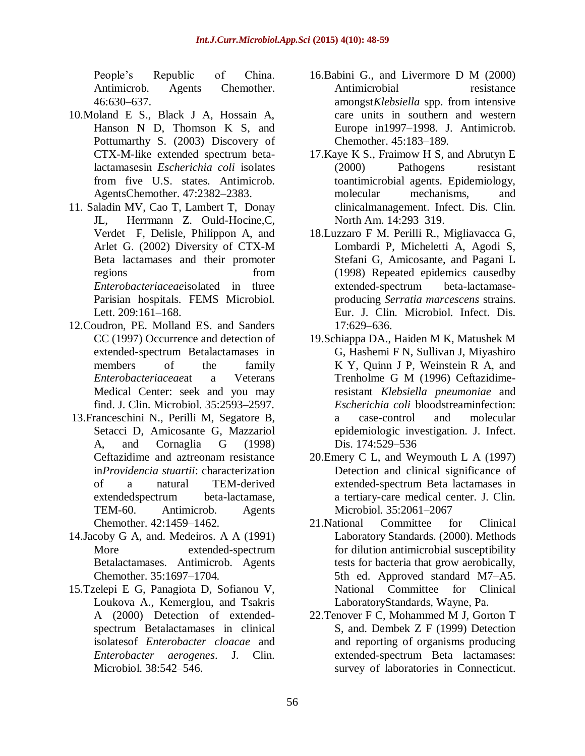People's Republic of China. Antimicrob. Agents Chemother. 46:630–637.

- 10.Moland E S., Black J A, Hossain A, Hanson N D, Thomson K S, and Pottumarthy S. (2003) Discovery of CTX-M-like extended spectrum betalactamasesin *Escherichia coli* isolates from five U.S. states. Antimicrob. AgentsChemother. 47:2382–2383.
- 11. Saladin MV, Cao T, Lambert T, Donay JL, Herrmann Z. Ould-Hocine,C, Verdet F, Delisle, Philippon A, and Arlet G. (2002) Diversity of CTX-M Beta lactamases and their promoter regions from from *Enterobacteriaceae*isolated in three Parisian hospitals. FEMS Microbiol. Lett. 209:161–168.
- 12.Coudron, PE. Molland ES. and Sanders CC (1997) Occurrence and detection of extended-spectrum Betalactamases in members of the family *Enterobacteriaceae*at a Veterans Medical Center: seek and you may find. J. Clin. Microbiol. 35:2593–2597.
- 13.Franceschini N., Perilli M, Segatore B, Setacci D, Amicosante G, Mazzariol A, and Cornaglia G (1998) Ceftazidime and aztreonam resistance in*Providencia stuartii*: characterization of a natural TEM-derived extendedspectrum beta-lactamase, TEM-60. Antimicrob. Agents Chemother. 42:1459–1462.
- 14.Jacoby G A, and. Medeiros. A A (1991) More extended-spectrum Betalactamases. Antimicrob. Agents Chemother. 35:1697–1704.
- 15.Tzelepi E G, Panagiota D, Sofianou V, Loukova A., Kemerglou, and Tsakris A (2000) Detection of extendedspectrum Betalactamases in clinical isolatesof *Enterobacter cloacae* and *Enterobacter aerogenes*. J. Clin. Microbiol. 38:542–546.
- 16.Babini G., and Livermore D M (2000) Antimicrobial resistance amongst*Klebsiella* spp. from intensive care units in southern and western Europe in1997–1998. J. Antimicrob. Chemother. 45:183–189.
- 17.Kaye K S., Fraimow H S, and Abrutyn E (2000) Pathogens resistant toantimicrobial agents. Epidemiology, molecular mechanisms, and clinicalmanagement. Infect. Dis. Clin. North Am. 14:293–319.
- 18.Luzzaro F M. Perilli R., Migliavacca G, Lombardi P, Micheletti A, Agodi S, Stefani G, Amicosante, and Pagani L (1998) Repeated epidemics causedby extended-spectrum beta-lactamaseproducing *Serratia marcescens* strains. Eur. J. Clin. Microbiol. Infect. Dis. 17:629–636.
- 19.Schiappa DA., Haiden M K, Matushek M G, Hashemi F N, Sullivan J, Miyashiro K Y, Quinn J P, Weinstein R A, and Trenholme G M (1996) Ceftazidimeresistant *Klebsiella pneumoniae* and *Escherichia coli* bloodstreaminfection: a case-control and molecular epidemiologic investigation. J. Infect. Dis. 174:529–536
- 20.Emery C L, and Weymouth L A (1997) Detection and clinical significance of extended-spectrum Beta lactamases in a tertiary-care medical center. J. Clin. Microbiol. 35:2061–2067
- 21.National Committee for Clinical Laboratory Standards. (2000). Methods for dilution antimicrobial susceptibility tests for bacteria that grow aerobically, 5th ed. Approved standard M7–A5. National Committee for Clinical LaboratoryStandards, Wayne, Pa.
- 22.Tenover F C, Mohammed M J, Gorton T S, and. Dembek Z F (1999) Detection and reporting of organisms producing extended-spectrum Beta lactamases: survey of laboratories in Connecticut.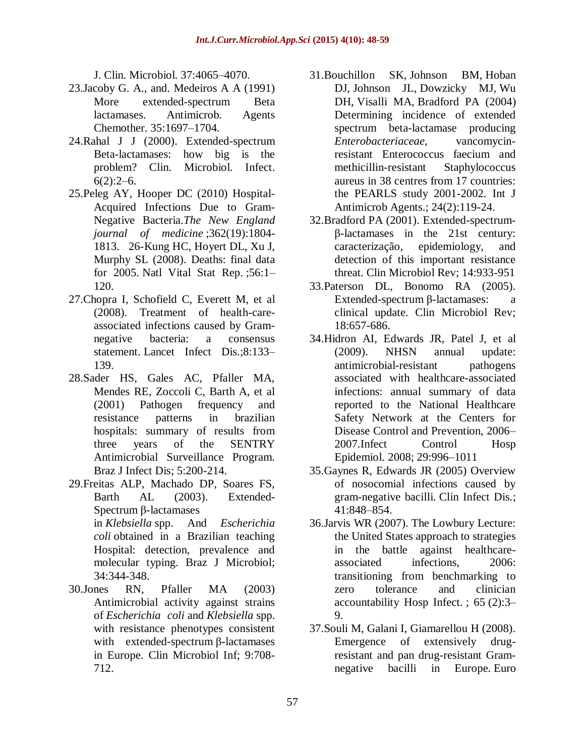J. Clin. Microbiol. 37:4065–4070.

- 23.Jacoby G. A., and. Medeiros A A (1991) More extended-spectrum Beta lactamases. Antimicrob. Agents Chemother. 35:1697–1704.
- 24.Rahal J J (2000). Extended-spectrum Beta-lactamases: how big is the problem? Clin. Microbiol. Infect.  $6(2):2-6.$
- 25.Peleg AY, Hooper DC (2010) Hospital-Acquired Infections Due to Gram-Negative Bacteria.*The New England journal of medicine* ;362(19):1804- 1813. 26-Kung HC, Hoyert DL, Xu J, Murphy SL (2008). Deaths: final data for 2005. Natl Vital Stat Rep. ;56:1– 120.
- 27.Chopra I, Schofield C, Everett M, et al (2008). Treatment of health-careassociated infections caused by Gramnegative bacteria: a consensus statement. Lancet Infect Dis.;8:133– 139.
- 28.Sader HS, Gales AC, Pfaller MA, Mendes RE, Zoccoli C, Barth A, et al (2001) Pathogen frequency and resistance patterns in brazilian hospitals: summary of results from three years of the SENTRY Antimicrobial Surveillance Program. Braz J Infect Dis; 5:200-214.
- 29.Freitas ALP, Machado DP, Soares FS, Barth AL (2003). Extended-Spectrum β-lactamases in *Klebsiella* spp. And *Escherichia coli* obtained in a Brazilian teaching

Hospital: detection, prevalence and molecular typing. Braz J Microbiol; 34:344-348.

30.Jones RN, Pfaller MA (2003) Antimicrobial activity against strains of *Escherichia coli* and *Klebsiella* spp. with resistance phenotypes consistent with extended-spectrum β-lactamases in Europe. Clin Microbiol Inf; 9:708- 712.

- 31[.Bouchillon SK,](http://www.ncbi.nlm.nih.gov/pubmed?term=Bouchillon%20SK%5BAuthor%5D&cauthor=true&cauthor_uid=15288309) [Johnson BM,](http://www.ncbi.nlm.nih.gov/pubmed?term=Johnson%20BM%5BAuthor%5D&cauthor=true&cauthor_uid=15288309) [Hoban](http://www.ncbi.nlm.nih.gov/pubmed?term=Hoban%20DJ%5BAuthor%5D&cauthor=true&cauthor_uid=15288309)  [DJ,](http://www.ncbi.nlm.nih.gov/pubmed?term=Hoban%20DJ%5BAuthor%5D&cauthor=true&cauthor_uid=15288309) [Johnson JL,](http://www.ncbi.nlm.nih.gov/pubmed?term=Johnson%20JL%5BAuthor%5D&cauthor=true&cauthor_uid=15288309) [Dowzicky MJ,](http://www.ncbi.nlm.nih.gov/pubmed?term=Dowzicky%20MJ%5BAuthor%5D&cauthor=true&cauthor_uid=15288309) [Wu](http://www.ncbi.nlm.nih.gov/pubmed?term=Wu%20DH%5BAuthor%5D&cauthor=true&cauthor_uid=15288309)  [DH,](http://www.ncbi.nlm.nih.gov/pubmed?term=Wu%20DH%5BAuthor%5D&cauthor=true&cauthor_uid=15288309) [Visalli MA,](http://www.ncbi.nlm.nih.gov/pubmed?term=Visalli%20MA%5BAuthor%5D&cauthor=true&cauthor_uid=15288309) [Bradford PA](http://www.ncbi.nlm.nih.gov/pubmed?term=Bradford%20PA%5BAuthor%5D&cauthor=true&cauthor_uid=15288309) (2004) Determining incidence of extended spectrum beta-lactamase producing *Enterobacteriaceae*, vancomycinresistant Enterococcus faecium and methicillin-resistant Staphylococcus aureus in 38 centres from 17 countries: the PEARLS study 2001-2002. Int J Antimicrob Agents.; 24(2):119-24.
- 32.Bradford PA (2001). Extended-spectrumβ-lactamases in the 21st century: caracterização, epidemiology, and detection of this important resistance threat. Clin Microbiol Rev; 14:933-951
- 33.Paterson DL, Bonomo RA (2005). Extended-spectrum β-lactamases: a clinical update. Clin Microbiol Rev; 18:657-686.
- 34.Hidron AI, Edwards JR, Patel J, et al (2009). NHSN annual update: antimicrobial-resistant pathogens associated with healthcare-associated infections: annual summary of data reported to the National Healthcare Safety Network at the Centers for Disease Control and Prevention, 2006– 2007.Infect Control Hosp Epidemiol. 2008; 29:996–1011
- 35.Gaynes R, Edwards JR (2005) Overview of nosocomial infections caused by gram-negative bacilli. Clin Infect Dis.; 41:848–854.
- 36.Jarvis WR (2007). The Lowbury Lecture: the United States approach to strategies in the battle against healthcareassociated infections, 2006: transitioning from benchmarking to zero tolerance and clinician accountability Hosp Infect. ; 65 (2):3– 9.
- 37.Souli M, Galani I, Giamarellou H (2008). Emergence of extensively drugresistant and pan drug-resistant Gramnegative bacilli in Europe. Euro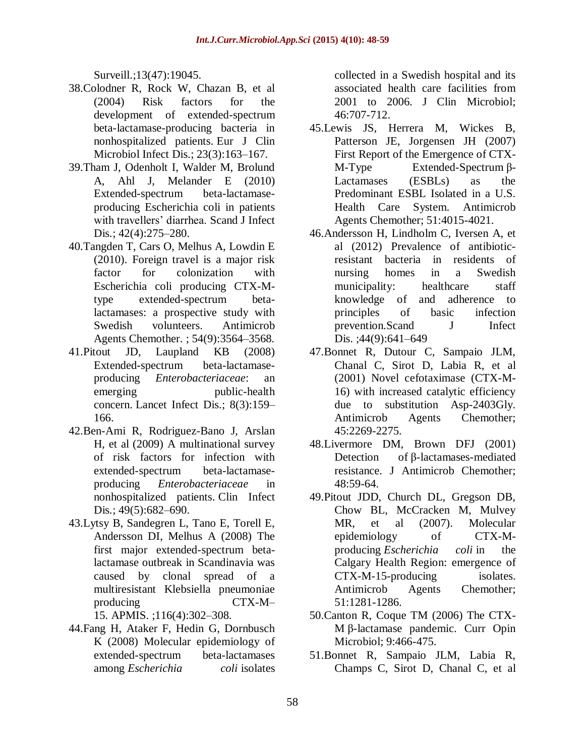Surveill.;13(47):19045.

- 38.Colodner R, Rock W, Chazan B, et al (2004) Risk factors for the development of extended-spectrum beta-lactamase-producing bacteria in nonhospitalized patients. Eur J Clin Microbiol Infect Dis.; 23(3):163–167.
- 39.Tham J, Odenholt I, Walder M, Brolund A, Ahl J, Melander E (2010) Extended-spectrum beta-lactamaseproducing Escherichia coli in patients with travellers' diarrhea. Scand J Infect Dis.; 42(4):275–280.
- 40.Tangden T, Cars O, Melhus A, Lowdin E (2010). Foreign travel is a major risk factor for colonization with Escherichia coli producing CTX-Mtype extended-spectrum betalactamases: a prospective study with Swedish volunteers. Antimicrob Agents Chemother. ; 54(9):3564–3568.
- 41.Pitout JD, Laupland KB (2008) Extended-spectrum beta-lactamaseproducing *Enterobacteriaceae*: an emerging public-health concern. Lancet Infect Dis.; 8(3):159– 166.
- 42.Ben-Ami R, Rodriguez-Bano J, Arslan H, et al (2009) A multinational survey of risk factors for infection with extended-spectrum beta-lactamaseproducing *Enterobacteriaceae* in nonhospitalized patients. Clin Infect Dis.; 49(5):682–690.
- 43.Lytsy B, Sandegren L, Tano E, Torell E, Andersson DI, Melhus A (2008) The first major extended-spectrum betalactamase outbreak in Scandinavia was caused by clonal spread of a multiresistant Klebsiella pneumoniae producing CTX-M– 15. APMIS. ;116(4):302–308.

44.Fang H, Ataker F, Hedin G, Dornbusch

K (2008) Molecular epidemiology of extended-spectrum beta-lactamases among *Escherichia coli* isolates

collected in a Swedish hospital and its associated health care facilities from 2001 to 2006. J Clin Microbiol; 46:707-712.

- 45.Lewis JS, Herrera M, Wickes B, Patterson JE, Jorgensen JH (2007) First Report of the Emergence of CTX-M-Type Extended-Spectrum β-Lactamases (ESBLs) as the Predominant ESBL Isolated in a U.S. Health Care System. Antimicrob Agents Chemother; 51:4015-4021.
- 46.Andersson H, Lindholm C, Iversen A, et al (2012) Prevalence of antibioticresistant bacteria in residents of nursing homes in a Swedish municipality: healthcare staff knowledge of and adherence to principles of basic infection prevention.Scand J Infect Dis. ;44(9):641-649
- 47.Bonnet R, Dutour C, Sampaio JLM, Chanal C, Sirot D, Labia R, et al (2001) Novel cefotaximase (CTX-M-16) with increased catalytic efficiency due to substitution Asp-2403Gly. Antimicrob Agents Chemother; 45:2269-2275.
- 48.Livermore DM, Brown DFJ (2001) Detection of β-lactamases-mediated resistance. J Antimicrob Chemother; 48:59-64.
- 49.Pitout JDD, Church DL, Gregson DB, Chow BL, McCracken M, Mulvey MR, et al (2007). Molecular epidemiology of CTX-Mproducing *Escherichia coli* in the Calgary Health Region: emergence of CTX-M-15-producing isolates. Antimicrob Agents Chemother; 51:1281-1286.
- 50.Canton R, Coque TM (2006) The CTX-M β-lactamase pandemic. Curr Opin Microbiol; 9:466-475.
- 51.Bonnet R, Sampaio JLM, Labia R, Champs C, Sirot D, Chanal C, et al